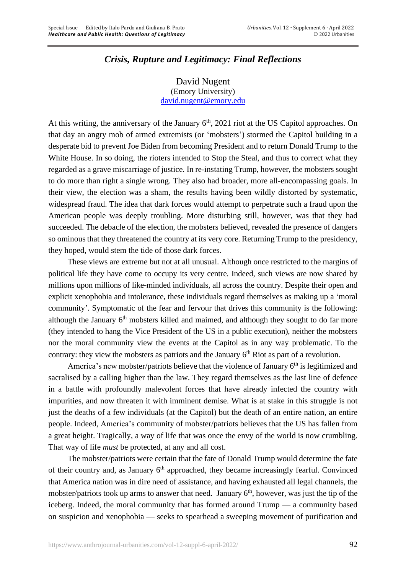## *Crisis, Rupture and Legitimacy: Final Reflections*

David Nugent (Emory University) [david.nugent@emory.edu](mailto:david.nugent@emory.edu)

At this writing, the anniversary of the January  $6<sup>th</sup>$ , 2021 riot at the US Capitol approaches. On that day an angry mob of armed extremists (or 'mobsters') stormed the Capitol building in a desperate bid to prevent Joe Biden from becoming President and to return Donald Trump to the White House. In so doing, the rioters intended to Stop the Steal, and thus to correct what they regarded as a grave miscarriage of justice. In re-instating Trump, however, the mobsters sought to do more than right a single wrong. They also had broader, more all-encompassing goals. In their view, the election was a sham, the results having been wildly distorted by systematic, widespread fraud. The idea that dark forces would attempt to perpetrate such a fraud upon the American people was deeply troubling. More disturbing still, however, was that they had succeeded. The debacle of the election, the mobsters believed, revealed the presence of dangers so ominous that they threatened the country at its very core. Returning Trump to the presidency, they hoped, would stem the tide of those dark forces.

These views are extreme but not at all unusual. Although once restricted to the margins of political life they have come to occupy its very centre. Indeed, such views are now shared by millions upon millions of like-minded individuals, all across the country. Despite their open and explicit xenophobia and intolerance, these individuals regard themselves as making up a 'moral community'. Symptomatic of the fear and fervour that drives this community is the following: although the January 6<sup>th</sup> mobsters killed and maimed, and although they sought to do far more (they intended to hang the Vice President of the US in a public execution), neither the mobsters nor the moral community view the events at the Capitol as in any way problematic. To the contrary: they view the mobsters as patriots and the January 6<sup>th</sup> Riot as part of a revolution.

America's new mobster/patriots believe that the violence of January 6<sup>th</sup> is legitimized and sacralised by a calling higher than the law. They regard themselves as the last line of defence in a battle with profoundly malevolent forces that have already infected the country with impurities, and now threaten it with imminent demise. What is at stake in this struggle is not just the deaths of a few individuals (at the Capitol) but the death of an entire nation, an entire people. Indeed, America's community of mobster/patriots believes that the US has fallen from a great height. Tragically, a way of life that was once the envy of the world is now crumbling. That way of life *must* be protected, at any and all cost.

The mobster/patriots were certain that the fate of Donald Trump would determine the fate of their country and, as January 6<sup>th</sup> approached, they became increasingly fearful. Convinced that America nation was in dire need of assistance, and having exhausted all legal channels, the mobster/patriots took up arms to answer that need. January  $6<sup>th</sup>$ , however, was just the tip of the iceberg. Indeed, the moral community that has formed around Trump — a community based on suspicion and xenophobia — seeks to spearhead a sweeping movement of purification and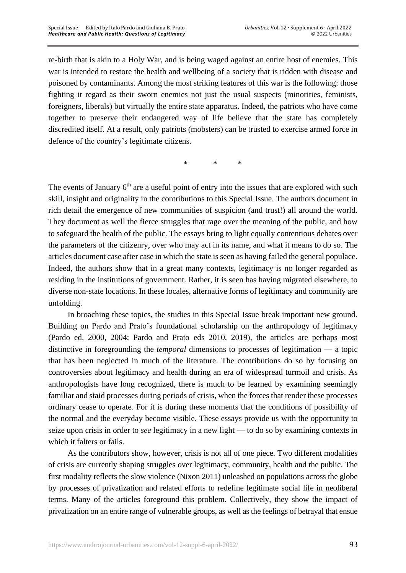re-birth that is akin to a Holy War, and is being waged against an entire host of enemies. This war is intended to restore the health and wellbeing of a society that is ridden with disease and poisoned by contaminants. Among the most striking features of this war is the following: those fighting it regard as their sworn enemies not just the usual suspects (minorities, feminists, foreigners, liberals) but virtually the entire state apparatus. Indeed, the patriots who have come together to preserve their endangered way of life believe that the state has completely discredited itself. At a result, only patriots (mobsters) can be trusted to exercise armed force in defence of the country's legitimate citizens.

\* \* \*

The events of January 6<sup>th</sup> are a useful point of entry into the issues that are explored with such skill, insight and originality in the contributions to this Special Issue. The authors document in rich detail the emergence of new communities of suspicion (and trust!) all around the world. They document as well the fierce struggles that rage over the meaning of the public, and how to safeguard the health of the public. The essays bring to light equally contentious debates over the parameters of the citizenry, over who may act in its name, and what it means to do so. The articles document case after case in which the state is seen as having failed the general populace. Indeed, the authors show that in a great many contexts, legitimacy is no longer regarded as residing in the institutions of government. Rather, it is seen has having migrated elsewhere, to diverse non-state locations. In these locales, alternative forms of legitimacy and community are unfolding.

In broaching these topics, the studies in this Special Issue break important new ground. Building on Pardo and Prato's foundational scholarship on the anthropology of legitimacy (Pardo ed. 2000, 2004; Pardo and Prato eds 2010, 2019), the articles are perhaps most distinctive in foregrounding the *temporal* dimensions to processes of legitimation — a topic that has been neglected in much of the literature. The contributions do so by focusing on controversies about legitimacy and health during an era of widespread turmoil and crisis. As anthropologists have long recognized, there is much to be learned by examining seemingly familiar and staid processes during periods of crisis, when the forces that render these processes ordinary cease to operate. For it is during these moments that the conditions of possibility of the normal and the everyday become visible. These essays provide us with the opportunity to seize upon crisis in order to *see* legitimacy in a new light — to do so by examining contexts in which it falters or fails.

As the contributors show, however, crisis is not all of one piece. Two different modalities of crisis are currently shaping struggles over legitimacy, community, health and the public. The first modality reflects the slow violence (Nixon 2011) unleashed on populations across the globe by processes of privatization and related efforts to redefine legitimate social life in neoliberal terms. Many of the articles foreground this problem. Collectively, they show the impact of privatization on an entire range of vulnerable groups, as well as the feelings of betrayal that ensue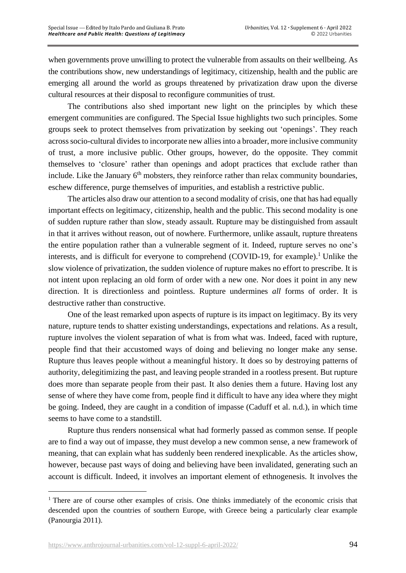when governments prove unwilling to protect the vulnerable from assaults on their wellbeing. As the contributions show, new understandings of legitimacy, citizenship, health and the public are emerging all around the world as groups threatened by privatization draw upon the diverse cultural resources at their disposal to reconfigure communities of trust.

The contributions also shed important new light on the principles by which these emergent communities are configured. The Special Issue highlights two such principles. Some groups seek to protect themselves from privatization by seeking out 'openings'. They reach across socio-cultural divides to incorporate new allies into a broader, more inclusive community of trust, a more inclusive public. Other groups, however, do the opposite. They commit themselves to 'closure' rather than openings and adopt practices that exclude rather than include. Like the January 6<sup>th</sup> mobsters, they reinforce rather than relax community boundaries, eschew difference, purge themselves of impurities, and establish a restrictive public.

The articles also draw our attention to a second modality of crisis, one that has had equally important effects on legitimacy, citizenship, health and the public. This second modality is one of sudden rupture rather than slow, steady assault. Rupture may be distinguished from assault in that it arrives without reason, out of nowhere. Furthermore, unlike assault, rupture threatens the entire population rather than a vulnerable segment of it. Indeed, rupture serves no one's interests, and is difficult for everyone to comprehend (COVID-19, for example).<sup>1</sup> Unlike the slow violence of privatization, the sudden violence of rupture makes no effort to prescribe. It is not intent upon replacing an old form of order with a new one. Nor does it point in any new direction. It is directionless and pointless. Rupture undermines *all* forms of order. It is destructive rather than constructive.

One of the least remarked upon aspects of rupture is its impact on legitimacy. By its very nature, rupture tends to shatter existing understandings, expectations and relations. As a result, rupture involves the violent separation of what is from what was. Indeed, faced with rupture, people find that their accustomed ways of doing and believing no longer make any sense. Rupture thus leaves people without a meaningful history. It does so by destroying patterns of authority, delegitimizing the past, and leaving people stranded in a rootless present. But rupture does more than separate people from their past. It also denies them a future. Having lost any sense of where they have come from, people find it difficult to have any idea where they might be going. Indeed, they are caught in a condition of impasse (Caduff et al. n.d.), in which time seems to have come to a standstill.

Rupture thus renders nonsensical what had formerly passed as common sense. If people are to find a way out of impasse, they must develop a new common sense, a new framework of meaning, that can explain what has suddenly been rendered inexplicable. As the articles show, however, because past ways of doing and believing have been invalidated, generating such an account is difficult. Indeed, it involves an important element of ethnogenesis. It involves the

<sup>&</sup>lt;sup>1</sup> There are of course other examples of crisis. One thinks immediately of the economic crisis that descended upon the countries of southern Europe, with Greece being a particularly clear example (Panourgia 2011).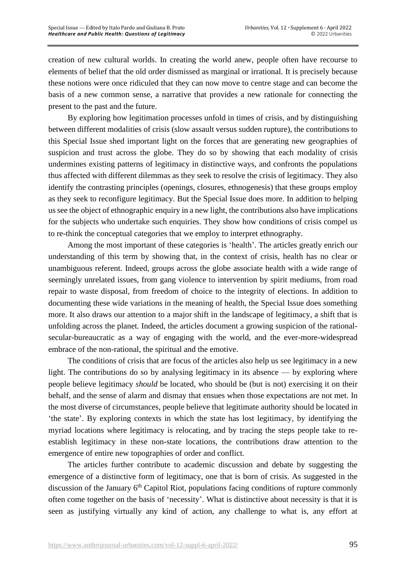creation of new cultural worlds. In creating the world anew, people often have recourse to elements of belief that the old order dismissed as marginal or irrational. It is precisely because these notions were once ridiculed that they can now move to centre stage and can become the basis of a new common sense, a narrative that provides a new rationale for connecting the present to the past and the future.

By exploring how legitimation processes unfold in times of crisis, and by distinguishing between different modalities of crisis (slow assault versus sudden rupture), the contributions to this Special Issue shed important light on the forces that are generating new geographies of suspicion and trust across the globe. They do so by showing that each modality of crisis undermines existing patterns of legitimacy in distinctive ways, and confronts the populations thus affected with different dilemmas as they seek to resolve the crisis of legitimacy. They also identify the contrasting principles (openings, closures, ethnogenesis) that these groups employ as they seek to reconfigure legitimacy. But the Special Issue does more. In addition to helping us see the object of ethnographic enquiry in a new light, the contributions also have implications for the subjects who undertake such enquiries. They show how conditions of crisis compel us to re-think the conceptual categories that we employ to interpret ethnography.

Among the most important of these categories is 'health'. The articles greatly enrich our understanding of this term by showing that, in the context of crisis, health has no clear or unambiguous referent. Indeed, groups across the globe associate health with a wide range of seemingly unrelated issues, from gang violence to intervention by spirit mediums, from road repair to waste disposal, from freedom of choice to the integrity of elections. In addition to documenting these wide variations in the meaning of health, the Special Issue does something more. It also draws our attention to a major shift in the landscape of legitimacy, a shift that is unfolding across the planet. Indeed, the articles document a growing suspicion of the rationalsecular-bureaucratic as a way of engaging with the world, and the ever-more-widespread embrace of the non-rational, the spiritual and the emotive.

The conditions of crisis that are focus of the articles also help us see legitimacy in a new light. The contributions do so by analysing legitimacy in its absence — by exploring where people believe legitimacy *should* be located, who should be (but is not) exercising it on their behalf, and the sense of alarm and dismay that ensues when those expectations are not met. In the most diverse of circumstances, people believe that legitimate authority should be located in 'the state'. By exploring contexts in which the state has lost legitimacy, by identifying the myriad locations where legitimacy is relocating, and by tracing the steps people take to reestablish legitimacy in these non-state locations, the contributions draw attention to the emergence of entire new topographies of order and conflict.

The articles further contribute to academic discussion and debate by suggesting the emergence of a distinctive form of legitimacy, one that is born of crisis. As suggested in the discussion of the January 6<sup>th</sup> Capitol Riot, populations facing conditions of rupture commonly often come together on the basis of 'necessity'. What is distinctive about necessity is that it is seen as justifying virtually any kind of action, any challenge to what is, any effort at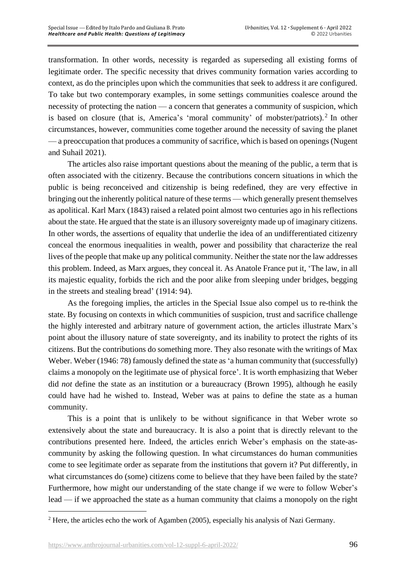transformation. In other words, necessity is regarded as superseding all existing forms of legitimate order. The specific necessity that drives community formation varies according to context, as do the principles upon which the communities that seek to address it are configured. To take but two contemporary examples, in some settings communities coalesce around the necessity of protecting the nation — a concern that generates a community of suspicion, which is based on closure (that is, America's 'moral community' of mobster/patriots).<sup>2</sup> In other circumstances, however, communities come together around the necessity of saving the planet — a preoccupation that produces a community of sacrifice, which is based on openings (Nugent and Suhail 2021).

The articles also raise important questions about the meaning of the public, a term that is often associated with the citizenry. Because the contributions concern situations in which the public is being reconceived and citizenship is being redefined, they are very effective in bringing out the inherently political nature of these terms — which generally present themselves as apolitical. Karl Marx (1843) raised a related point almost two centuries ago in his reflections about the state. He argued that the state is an illusory sovereignty made up of imaginary citizens. In other words, the assertions of equality that underlie the idea of an undifferentiated citizenry conceal the enormous inequalities in wealth, power and possibility that characterize the real lives of the people that make up any political community. Neither the state nor the law addresses this problem. Indeed, as Marx argues, they conceal it. As Anatole France put it, 'The law, in all its majestic equality, forbids the rich and the poor alike from sleeping under bridges, begging in the streets and stealing bread' (1914: 94).

As the foregoing implies, the articles in the Special Issue also compel us to re-think the state. By focusing on contexts in which communities of suspicion, trust and sacrifice challenge the highly interested and arbitrary nature of government action, the articles illustrate Marx's point about the illusory nature of state sovereignty, and its inability to protect the rights of its citizens. But the contributions do something more. They also resonate with the writings of Max Weber. Weber (1946: 78) famously defined the state as 'a human community that (successfully) claims a monopoly on the legitimate use of physical force'. It is worth emphasizing that Weber did *not* define the state as an institution or a bureaucracy (Brown 1995), although he easily could have had he wished to. Instead, Weber was at pains to define the state as a human community.

This is a point that is unlikely to be without significance in that Weber wrote so extensively about the state and bureaucracy. It is also a point that is directly relevant to the contributions presented here. Indeed, the articles enrich Weber's emphasis on the state-ascommunity by asking the following question. In what circumstances do human communities come to see legitimate order as separate from the institutions that govern it? Put differently, in what circumstances do (some) citizens come to believe that they have been failed by the state? Furthermore, how might our understanding of the state change if we were to follow Weber's lead — if we approached the state as a human community that claims a monopoly on the right

<sup>&</sup>lt;sup>2</sup> Here, the articles echo the work of Agamben (2005), especially his analysis of Nazi Germany.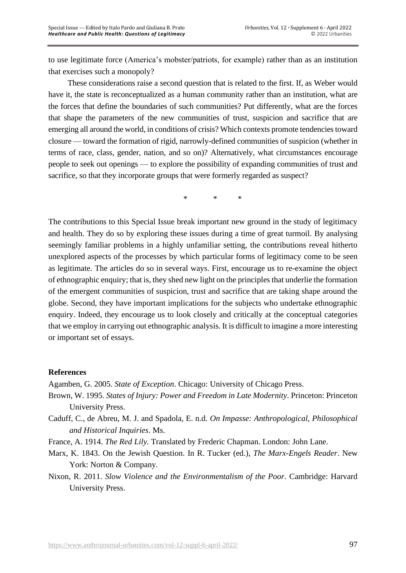to use legitimate force (America's mobster/patriots, for example) rather than as an institution that exercises such a monopoly?

These considerations raise a second question that is related to the first. If, as Weber would have it, the state is reconceptualized as a human community rather than an institution, what are the forces that define the boundaries of such communities? Put differently, what are the forces that shape the parameters of the new communities of trust, suspicion and sacrifice that are emerging all around the world, in conditions of crisis? Which contexts promote tendencies toward closure — toward the formation of rigid, narrowly-defined communities of suspicion (whether in terms of race, class, gender, nation, and so on)? Alternatively, what circumstances encourage people to seek out openings — to explore the possibility of expanding communities of trust and sacrifice, so that they incorporate groups that were formerly regarded as suspect?

\* \* \*

The contributions to this Special Issue break important new ground in the study of legitimacy and health. They do so by exploring these issues during a time of great turmoil. By analysing seemingly familiar problems in a highly unfamiliar setting, the contributions reveal hitherto unexplored aspects of the processes by which particular forms of legitimacy come to be seen as legitimate. The articles do so in several ways. First, encourage us to re-examine the object of ethnographic enquiry; that is, they shed new light on the principles that underlie the formation of the emergent communities of suspicion, trust and sacrifice that are taking shape around the globe. Second, they have important implications for the subjects who undertake ethnographic enquiry. Indeed, they encourage us to look closely and critically at the conceptual categories that we employ in carrying out ethnographic analysis. It is difficult to imagine a more interesting or important set of essays.

## **References**

Agamben, G. 2005. *State of Exception*. Chicago: University of Chicago Press.

- Brown, W. 1995. *States of Injury: Power and Freedom in Late Modernity*. Princeton: Princeton University Press.
- Caduff, C., de Abreu, M. J. and Spadola, E. n.d. *On Impasse: Anthropological, Philosophical and Historical Inquiries*. Ms.
- France, A. 1914. *The Red Lily.* Translated by Frederic Chapman. London: John Lane.
- Marx, K. 1843. On the Jewish Question. In R. Tucker (ed.), *The Marx-Engels Reader*. New York: Norton & Company.
- Nixon, R. 2011. *Slow Violence and the Environmentalism of the Poor*. Cambridge: Harvard University Press.